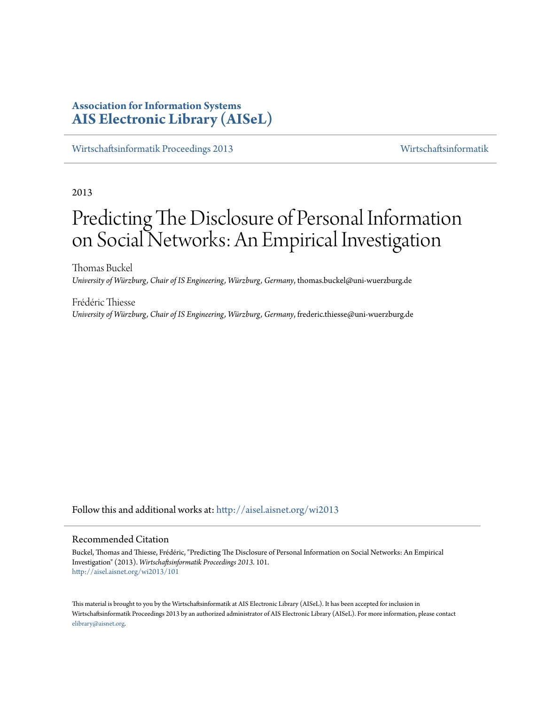# **Association for Information Systems [AIS Electronic Library \(AISeL\)](http://aisel.aisnet.org?utm_source=aisel.aisnet.org%2Fwi2013%2F101&utm_medium=PDF&utm_campaign=PDFCoverPages)**

[Wirtschaftsinformatik Proceedings 2013](http://aisel.aisnet.org/wi2013?utm_source=aisel.aisnet.org%2Fwi2013%2F101&utm_medium=PDF&utm_campaign=PDFCoverPages) [Wirtschaftsinformatik](http://aisel.aisnet.org/wi?utm_source=aisel.aisnet.org%2Fwi2013%2F101&utm_medium=PDF&utm_campaign=PDFCoverPages)

2013

# Predicting The Disclosure of Personal Information on Social Networks: An Empirical Investigation

Thomas Buckel *University of Würzburg, Chair of IS Engineering, Würzburg, Germany*, thomas.buckel@uni-wuerzburg.de

Frédéric Thiesse *University of Würzburg, Chair of IS Engineering, Würzburg, Germany*, frederic.thiesse@uni-wuerzburg.de

Follow this and additional works at: [http://aisel.aisnet.org/wi2013](http://aisel.aisnet.org/wi2013?utm_source=aisel.aisnet.org%2Fwi2013%2F101&utm_medium=PDF&utm_campaign=PDFCoverPages)

#### Recommended Citation

Buckel, Thomas and Thiesse, Frédéric, "Predicting The Disclosure of Personal Information on Social Networks: An Empirical Investigation" (2013). *Wirtschaftsinformatik Proceedings 2013*. 101. [http://aisel.aisnet.org/wi2013/101](http://aisel.aisnet.org/wi2013/101?utm_source=aisel.aisnet.org%2Fwi2013%2F101&utm_medium=PDF&utm_campaign=PDFCoverPages)

This material is brought to you by the Wirtschaftsinformatik at AIS Electronic Library (AISeL). It has been accepted for inclusion in Wirtschaftsinformatik Proceedings 2013 by an authorized administrator of AIS Electronic Library (AISeL). For more information, please contact [elibrary@aisnet.org.](mailto:elibrary@aisnet.org%3E)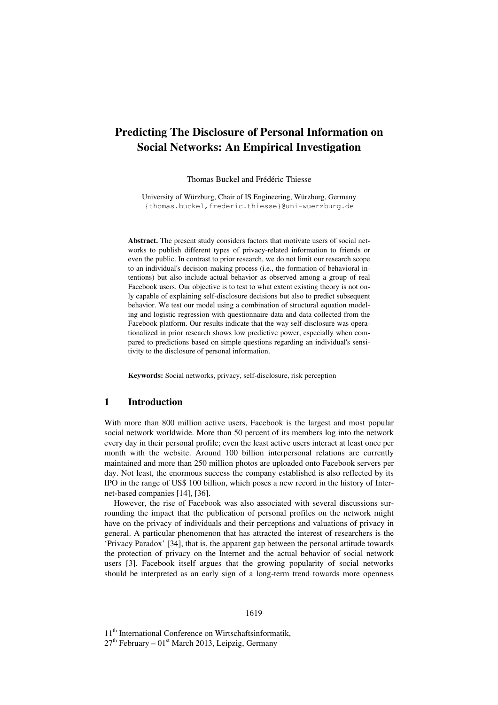# **Predicting The Disclosure of Personal Information on Social Networks: An Empirical Investigation**

Thomas Buckel and Frédéric Thiesse

University of Würzburg, Chair of IS Engineering, Würzburg, Germany {thomas.buckel,frederic.thiesse}@uni-wuerzburg.de

**Abstract.** The present study considers factors that motivate users of social networks to publish different types of privacy-related information to friends or even the public. In contrast to prior research, we do not limit our research scope to an individual's decision-making process (i.e., the formation of behavioral intentions) but also include actual behavior as observed among a group of real Facebook users. Our objective is to test to what extent existing theory is not only capable of explaining self-disclosure decisions but also to predict subsequent behavior. We test our model using a combination of structural equation modeling and logistic regression with questionnaire data and data collected from the Facebook platform. Our results indicate that the way self-disclosure was operationalized in prior research shows low predictive power, especially when compared to predictions based on simple questions regarding an individual's sensitivity to the disclosure of personal information.

**Keywords:** Social networks, privacy, self-disclosure, risk perception

#### **1 Introduction**

With more than 800 million active users, Facebook is the largest and most popular social network worldwide. More than 50 percent of its members log into the network every day in their personal profile; even the least active users interact at least once per month with the website. Around 100 billion interpersonal relations are currently maintained and more than 250 million photos are uploaded onto Facebook servers per day. Not least, the enormous success the company established is also reflected by its IPO in the range of US\$ 100 billion, which poses a new record in the history of Internet-based companies [14], [36].

However, the rise of Facebook was also associated with several discussions surrounding the impact that the publication of personal profiles on the network might have on the privacy of individuals and their perceptions and valuations of privacy in general. A particular phenomenon that has attracted the interest of researchers is the 'Privacy Paradox' [34], that is, the apparent gap between the personal attitude towards the protection of privacy on the Internet and the actual behavior of social network users [3]. Facebook itself argues that the growing popularity of social networks should be interpreted as an early sign of a long-term trend towards more openness

#### 1619

11<sup>th</sup> International Conference on Wirtschaftsinformatik,  $27<sup>th</sup>$  February –  $01<sup>st</sup>$  March 2013, Leipzig, Germany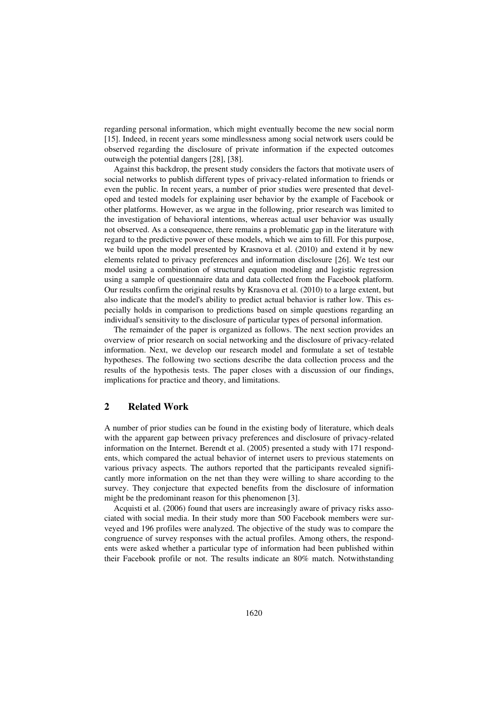regarding personal information, which might eventually become the new social norm [15]. Indeed, in recent years some mindlessness among social network users could be observed regarding the disclosure of private information if the expected outcomes outweigh the potential dangers [28], [38].

Against this backdrop, the present study considers the factors that motivate users of social networks to publish different types of privacy-related information to friends or even the public. In recent years, a number of prior studies were presented that developed and tested models for explaining user behavior by the example of Facebook or other platforms. However, as we argue in the following, prior research was limited to the investigation of behavioral intentions, whereas actual user behavior was usually not observed. As a consequence, there remains a problematic gap in the literature with regard to the predictive power of these models, which we aim to fill. For this purpose, we build upon the model presented by Krasnova et al. (2010) and extend it by new elements related to privacy preferences and information disclosure [26]. We test our model using a combination of structural equation modeling and logistic regression using a sample of questionnaire data and data collected from the Facebook platform. Our results confirm the original results by Krasnova et al. (2010) to a large extent, but also indicate that the model's ability to predict actual behavior is rather low. This especially holds in comparison to predictions based on simple questions regarding an individual's sensitivity to the disclosure of particular types of personal information.

The remainder of the paper is organized as follows. The next section provides an overview of prior research on social networking and the disclosure of privacy-related information. Next, we develop our research model and formulate a set of testable hypotheses. The following two sections describe the data collection process and the results of the hypothesis tests. The paper closes with a discussion of our findings, implications for practice and theory, and limitations.

## **2 Related Work**

A number of prior studies can be found in the existing body of literature, which deals with the apparent gap between privacy preferences and disclosure of privacy-related information on the Internet. Berendt et al. (2005) presented a study with 171 respondents, which compared the actual behavior of internet users to previous statements on various privacy aspects. The authors reported that the participants revealed significantly more information on the net than they were willing to share according to the survey. They conjecture that expected benefits from the disclosure of information might be the predominant reason for this phenomenon [3].

Acquisti et al. (2006) found that users are increasingly aware of privacy risks associated with social media. In their study more than 500 Facebook members were surveyed and 196 profiles were analyzed. The objective of the study was to compare the congruence of survey responses with the actual profiles. Among others, the respondents were asked whether a particular type of information had been published within their Facebook profile or not. The results indicate an 80% match. Notwithstanding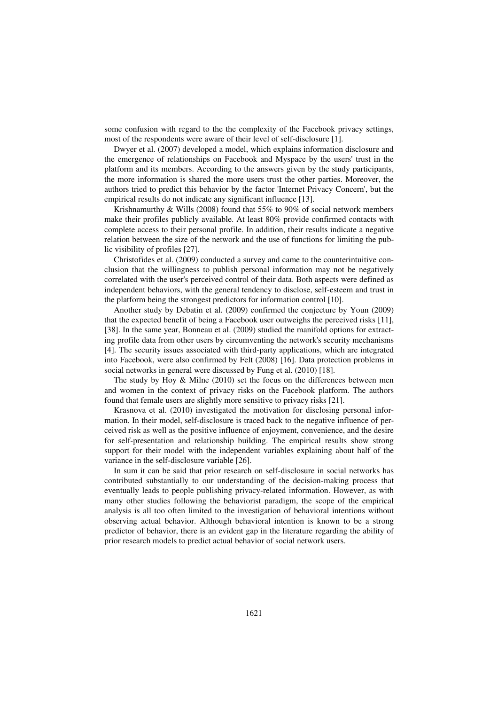some confusion with regard to the the complexity of the Facebook privacy settings, most of the respondents were aware of their level of self-disclosure [1].

Dwyer et al. (2007) developed a model, which explains information disclosure and the emergence of relationships on Facebook and Myspace by the users' trust in the platform and its members. According to the answers given by the study participants, the more information is shared the more users trust the other parties. Moreover, the authors tried to predict this behavior by the factor 'Internet Privacy Concern', but the empirical results do not indicate any significant influence [13].

Krishnamurthy & Wills (2008) found that 55% to 90% of social network members make their profiles publicly available. At least 80% provide confirmed contacts with complete access to their personal profile. In addition, their results indicate a negative relation between the size of the network and the use of functions for limiting the public visibility of profiles [27].

Christofides et al. (2009) conducted a survey and came to the counterintuitive conclusion that the willingness to publish personal information may not be negatively correlated with the user's perceived control of their data. Both aspects were defined as independent behaviors, with the general tendency to disclose, self-esteem and trust in the platform being the strongest predictors for information control [10].

Another study by Debatin et al. (2009) confirmed the conjecture by Youn (2009) that the expected benefit of being a Facebook user outweighs the perceived risks [11], [38]. In the same year, Bonneau et al. (2009) studied the manifold options for extracting profile data from other users by circumventing the network's security mechanisms [4]. The security issues associated with third-party applications, which are integrated into Facebook, were also confirmed by Felt (2008) [16]. Data protection problems in social networks in general were discussed by Fung et al. (2010) [18].

The study by Hoy & Milne (2010) set the focus on the differences between men and women in the context of privacy risks on the Facebook platform. The authors found that female users are slightly more sensitive to privacy risks [21].

Krasnova et al. (2010) investigated the motivation for disclosing personal information. In their model, self-disclosure is traced back to the negative influence of perceived risk as well as the positive influence of enjoyment, convenience, and the desire for self-presentation and relationship building. The empirical results show strong support for their model with the independent variables explaining about half of the variance in the self-disclosure variable [26].

In sum it can be said that prior research on self-disclosure in social networks has contributed substantially to our understanding of the decision-making process that eventually leads to people publishing privacy-related information. However, as with many other studies following the behaviorist paradigm, the scope of the empirical analysis is all too often limited to the investigation of behavioral intentions without observing actual behavior. Although behavioral intention is known to be a strong predictor of behavior, there is an evident gap in the literature regarding the ability of prior research models to predict actual behavior of social network users.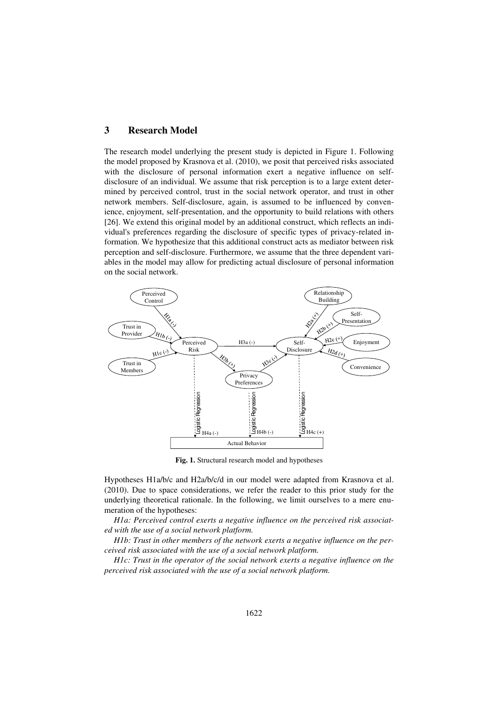## **3 Research Model**

The research model underlying the present study is depicted in Figure 1. Following the model proposed by Krasnova et al. (2010), we posit that perceived risks associated with the disclosure of personal information exert a negative influence on selfdisclosure of an individual. We assume that risk perception is to a large extent determined by perceived control, trust in the social network operator, and trust in other network members. Self-disclosure, again, is assumed to be influenced by convenience, enjoyment, self-presentation, and the opportunity to build relations with others [26]. We extend this original model by an additional construct, which reflects an individual's preferences regarding the disclosure of specific types of privacy-related information. We hypothesize that this additional construct acts as mediator between risk perception and self-disclosure. Furthermore, we assume that the three dependent variables in the model may allow for predicting actual disclosure of personal information on the social network.



**Fig. 1.** Structural research model and hypotheses

Hypotheses H1a/b/c and H2a/b/c/d in our model were adapted from Krasnova et al. (2010). Due to space considerations, we refer the reader to this prior study for the underlying theoretical rationale. In the following, we limit ourselves to a mere enumeration of the hypotheses:

*H1a: Perceived control exerts a negative influence on the perceived risk associated with the use of a social network platform.* 

*H1b: Trust in other members of the network exerts a negative influence on the perceived risk associated with the use of a social network platform.* 

*H1c: Trust in the operator of the social network exerts a negative influence on the perceived risk associated with the use of a social network platform.*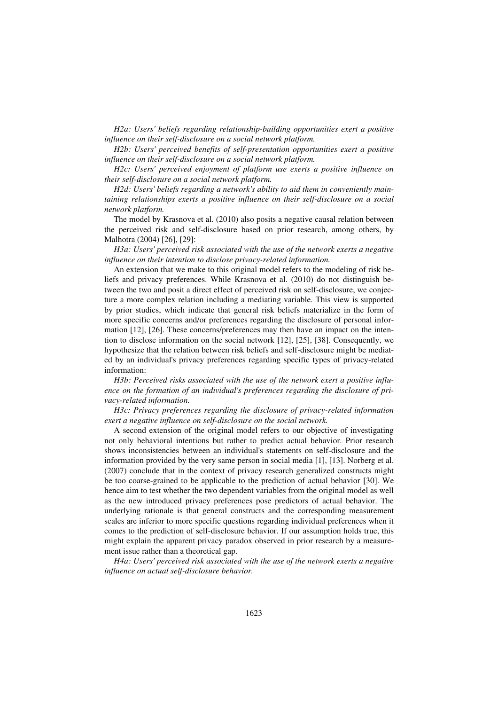*H2a: Users' beliefs regarding relationship-building opportunities exert a positive influence on their self-disclosure on a social network platform.* 

*H2b: Users' perceived benefits of self-presentation opportunities exert a positive influence on their self-disclosure on a social network platform.* 

*H2c: Users' perceived enjoyment of platform use exerts a positive influence on their self-disclosure on a social network platform.* 

*H2d: Users' beliefs regarding a network's ability to aid them in conveniently maintaining relationships exerts a positive influence on their self-disclosure on a social network platform.* 

The model by Krasnova et al. (2010) also posits a negative causal relation between the perceived risk and self-disclosure based on prior research, among others, by Malhotra (2004) [26], [29]:

*H3a: Users' perceived risk associated with the use of the network exerts a negative influence on their intention to disclose privacy-related information.* 

An extension that we make to this original model refers to the modeling of risk beliefs and privacy preferences. While Krasnova et al. (2010) do not distinguish between the two and posit a direct effect of perceived risk on self-disclosure, we conjecture a more complex relation including a mediating variable. This view is supported by prior studies, which indicate that general risk beliefs materialize in the form of more specific concerns and/or preferences regarding the disclosure of personal information [12], [26]. These concerns/preferences may then have an impact on the intention to disclose information on the social network [12], [25], [38]. Consequently, we hypothesize that the relation between risk beliefs and self-disclosure might be mediated by an individual's privacy preferences regarding specific types of privacy-related information:

*H3b: Perceived risks associated with the use of the network exert a positive influence on the formation of an individual's preferences regarding the disclosure of privacy-related information.* 

*H3c: Privacy preferences regarding the disclosure of privacy-related information exert a negative influence on self-disclosure on the social network.*

A second extension of the original model refers to our objective of investigating not only behavioral intentions but rather to predict actual behavior. Prior research shows inconsistencies between an individual's statements on self-disclosure and the information provided by the very same person in social media [1], [13]. Norberg et al. (2007) conclude that in the context of privacy research generalized constructs might be too coarse-grained to be applicable to the prediction of actual behavior [30]. We hence aim to test whether the two dependent variables from the original model as well as the new introduced privacy preferences pose predictors of actual behavior. The underlying rationale is that general constructs and the corresponding measurement scales are inferior to more specific questions regarding individual preferences when it comes to the prediction of self-disclosure behavior. If our assumption holds true, this might explain the apparent privacy paradox observed in prior research by a measurement issue rather than a theoretical gap.

*H4a: Users' perceived risk associated with the use of the network exerts a negative influence on actual self-disclosure behavior.*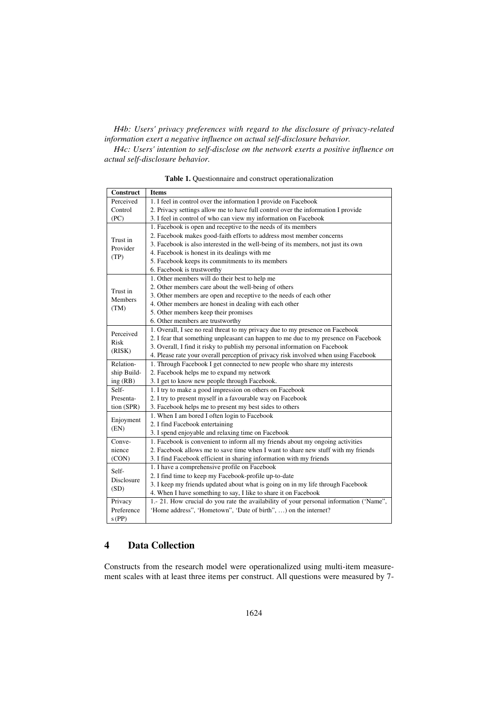#### *H4b: Users' privacy preferences with regard to the disclosure of privacy-related information exert a negative influence on actual self-disclosure behavior.*

*H4c: Users' intention to self-disclose on the network exerts a positive influence on actual self-disclosure behavior.* 

| Construct                    | <b>Items</b>                                                                           |  |  |  |  |  |  |  |
|------------------------------|----------------------------------------------------------------------------------------|--|--|--|--|--|--|--|
| Perceived                    | 1. I feel in control over the information I provide on Facebook                        |  |  |  |  |  |  |  |
| Control                      | 2. Privacy settings allow me to have full control over the information I provide       |  |  |  |  |  |  |  |
| (PC)                         | 3. I feel in control of who can view my information on Facebook                        |  |  |  |  |  |  |  |
| Trust in<br>Provider<br>(TP) | 1. Facebook is open and receptive to the needs of its members                          |  |  |  |  |  |  |  |
|                              | 2. Facebook makes good-faith efforts to address most member concerns                   |  |  |  |  |  |  |  |
|                              | 3. Facebook is also interested in the well-being of its members, not just its own      |  |  |  |  |  |  |  |
|                              | 4. Facebook is honest in its dealings with me                                          |  |  |  |  |  |  |  |
|                              | 5. Facebook keeps its commitments to its members                                       |  |  |  |  |  |  |  |
|                              | 6. Facebook is trustworthy                                                             |  |  |  |  |  |  |  |
|                              | 1. Other members will do their best to help me                                         |  |  |  |  |  |  |  |
| Trust in                     | 2. Other members care about the well-being of others                                   |  |  |  |  |  |  |  |
| Members                      | 3. Other members are open and receptive to the needs of each other                     |  |  |  |  |  |  |  |
|                              | 4. Other members are honest in dealing with each other                                 |  |  |  |  |  |  |  |
| (TM)                         | 5. Other members keep their promises                                                   |  |  |  |  |  |  |  |
|                              | 6. Other members are trustworthy                                                       |  |  |  |  |  |  |  |
| Perceived                    | 1. Overall, I see no real threat to my privacy due to my presence on Facebook          |  |  |  |  |  |  |  |
| Risk                         | 2. I fear that something unpleasant can happen to me due to my presence on Facebook    |  |  |  |  |  |  |  |
|                              | 3. Overall, I find it risky to publish my personal information on Facebook             |  |  |  |  |  |  |  |
| (RISK)                       | 4. Please rate your overall perception of privacy risk involved when using Facebook    |  |  |  |  |  |  |  |
| Relation-                    | 1. Through Facebook I get connected to new people who share my interests               |  |  |  |  |  |  |  |
| ship Build-                  | 2. Facebook helps me to expand my network                                              |  |  |  |  |  |  |  |
| ing (RB)                     | 3. I get to know new people through Facebook.                                          |  |  |  |  |  |  |  |
| Self-                        | 1. I try to make a good impression on others on Facebook                               |  |  |  |  |  |  |  |
| Presenta-                    | 2. I try to present myself in a favourable way on Facebook                             |  |  |  |  |  |  |  |
| tion (SPR)                   | 3. Facebook helps me to present my best sides to others                                |  |  |  |  |  |  |  |
|                              | 1. When I am bored I often login to Facebook                                           |  |  |  |  |  |  |  |
| Enjoyment<br>(EN)            | 2. I find Facebook entertaining                                                        |  |  |  |  |  |  |  |
|                              | 3. I spend enjoyable and relaxing time on Facebook                                     |  |  |  |  |  |  |  |
| Conve-                       | 1. Facebook is convenient to inform all my friends about my ongoing activities         |  |  |  |  |  |  |  |
| nience                       | 2. Facebook allows me to save time when I want to share new stuff with my friends      |  |  |  |  |  |  |  |
| (CON)                        | 3. I find Facebook efficient in sharing information with my friends                    |  |  |  |  |  |  |  |
|                              | 1. I have a comprehensive profile on Facebook                                          |  |  |  |  |  |  |  |
| Self-                        | 2. I find time to keep my Facebook-profile up-to-date                                  |  |  |  |  |  |  |  |
| Disclosure                   | 3. I keep my friends updated about what is going on in my life through Facebook        |  |  |  |  |  |  |  |
| (SD)                         | 4. When I have something to say, I like to share it on Facebook                        |  |  |  |  |  |  |  |
| Privacy                      | 1.- 21. How crucial do you rate the availability of your personal information ('Name", |  |  |  |  |  |  |  |
| Preference                   | 'Home address", 'Hometown", 'Date of birth", ) on the internet?                        |  |  |  |  |  |  |  |
| $s$ (PP)                     |                                                                                        |  |  |  |  |  |  |  |

**Table 1.** Questionnaire and construct operationalization

# **4 Data Collection**

Constructs from the research model were operationalized using multi-item measurement scales with at least three items per construct. All questions were measured by 7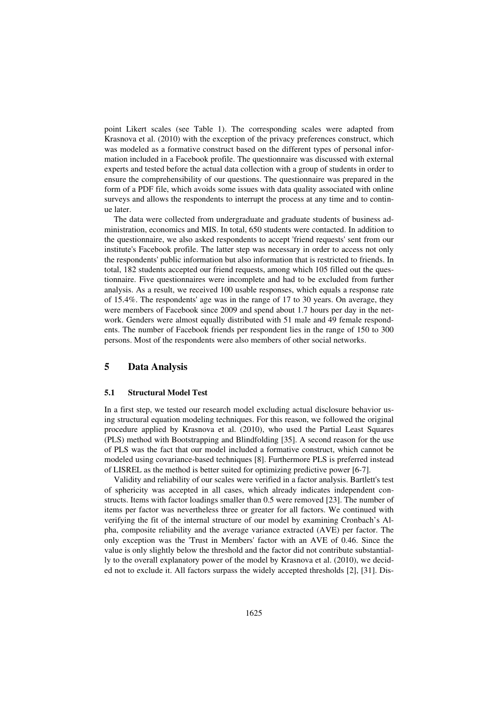point Likert scales (see Table 1). The corresponding scales were adapted from Krasnova et al. (2010) with the exception of the privacy preferences construct, which was modeled as a formative construct based on the different types of personal information included in a Facebook profile. The questionnaire was discussed with external experts and tested before the actual data collection with a group of students in order to ensure the comprehensibility of our questions. The questionnaire was prepared in the form of a PDF file, which avoids some issues with data quality associated with online surveys and allows the respondents to interrupt the process at any time and to continue later.

The data were collected from undergraduate and graduate students of business administration, economics and MIS. In total, 650 students were contacted. In addition to the questionnaire, we also asked respondents to accept 'friend requests' sent from our institute's Facebook profile. The latter step was necessary in order to access not only the respondents' public information but also information that is restricted to friends. In total, 182 students accepted our friend requests, among which 105 filled out the questionnaire. Five questionnaires were incomplete and had to be excluded from further analysis. As a result, we received 100 usable responses, which equals a response rate of 15.4%. The respondents' age was in the range of 17 to 30 years. On average, they were members of Facebook since 2009 and spend about 1.7 hours per day in the network. Genders were almost equally distributed with 51 male and 49 female respondents. The number of Facebook friends per respondent lies in the range of 150 to 300 persons. Most of the respondents were also members of other social networks.

## **5 Data Analysis**

#### **5.1 Structural Model Test**

In a first step, we tested our research model excluding actual disclosure behavior using structural equation modeling techniques. For this reason, we followed the original procedure applied by Krasnova et al. (2010), who used the Partial Least Squares (PLS) method with Bootstrapping and Blindfolding [35]. A second reason for the use of PLS was the fact that our model included a formative construct, which cannot be modeled using covariance-based techniques [8]. Furthermore PLS is preferred instead of LISREL as the method is better suited for optimizing predictive power [6-7].

Validity and reliability of our scales were verified in a factor analysis. Bartlett's test of sphericity was accepted in all cases, which already indicates independent constructs. Items with factor loadings smaller than 0.5 were removed [23]. The number of items per factor was nevertheless three or greater for all factors. We continued with verifying the fit of the internal structure of our model by examining Cronbach's Alpha, composite reliability and the average variance extracted (AVE) per factor. The only exception was the 'Trust in Members' factor with an AVE of 0.46. Since the value is only slightly below the threshold and the factor did not contribute substantially to the overall explanatory power of the model by Krasnova et al. (2010), we decided not to exclude it. All factors surpass the widely accepted thresholds [2], [31]. Dis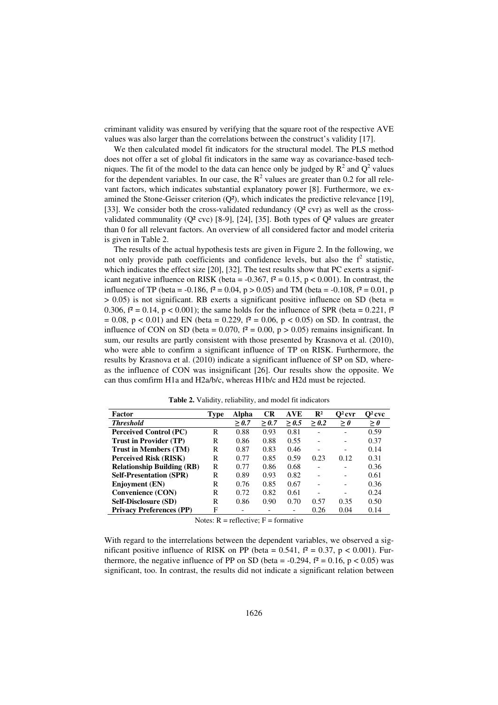criminant validity was ensured by verifying that the square root of the respective AVE values was also larger than the correlations between the construct's validity [17].

We then calculated model fit indicators for the structural model. The PLS method does not offer a set of global fit indicators in the same way as covariance-based techniques. The fit of the model to the data can hence only be judged by  $R^2$  and  $Q^2$  values for the dependent variables. In our case, the  $R^2$  values are greater than 0.2 for all relevant factors, which indicates substantial explanatory power [8]. Furthermore, we examined the Stone-Geisser criterion  $(Q^2)$ , which indicates the predictive relevance [19], [33]. We consider both the cross-validated redundancy  $(O<sup>2</sup> cvr)$  as well as the crossvalidated communality  $(Q^2 \text{ cyc})$  [8-9], [24], [35]. Both types of  $Q^2$  values are greater than 0 for all relevant factors. An overview of all considered factor and model criteria is given in Table 2.

The results of the actual hypothesis tests are given in Figure 2. In the following, we not only provide path coefficients and confidence levels, but also the  $f^2$  statistic, which indicates the effect size [20], [32]. The test results show that PC exerts a significant negative influence on RISK (beta =  $-0.367$ ,  $f^2 = 0.15$ , p < 0.001). In contrast, the influence of TP (beta = -0.186,  $f^2 = 0.04$ , p > 0.05) and TM (beta = -0.108,  $f^2 = 0.01$ , p  $> 0.05$ ) is not significant. RB exerts a significant positive influence on SD (beta = 0.306,  $f^2 = 0.14$ ,  $p < 0.001$ ); the same holds for the influence of SPR (beta = 0.221,  $f^2$ )  $= 0.08$ ,  $p < 0.01$ ) and EN (beta  $= 0.229$ ,  $f^2 = 0.06$ ,  $p < 0.05$ ) on SD. In contrast, the influence of CON on SD (beta =  $0.070$ ,  $f^2 = 0.00$ ,  $p > 0.05$ ) remains insignificant. In sum, our results are partly consistent with those presented by Krasnova et al. (2010), who were able to confirm a significant influence of TP on RISK. Furthermore, the results by Krasnova et al. (2010) indicate a significant influence of SP on SD, whereas the influence of CON was insignificant [26]. Our results show the opposite. We can thus comfirm H1a and H2a/b/c, whereas H1b/c and H2d must be rejected.

| Factor                            | Type | Alpha | <b>CR</b> | AVE   | $\mathbf{R}^2$ | $O^2$ cvr | $O^2$ cvc |
|-----------------------------------|------|-------|-----------|-------|----------------|-----------|-----------|
| <b>Threshold</b>                  |      | > 0.7 | > 0.7     | > 0.5 | > 0.2          | >0        | $\geq 0$  |
| <b>Perceived Control (PC)</b>     | R    | 0.88  | 0.93      | 0.81  |                |           | 0.59      |
| <b>Trust in Provider (TP)</b>     | R    | 0.86  | 0.88      | 0.55  |                |           | 0.37      |
| <b>Trust in Members (TM)</b>      | R    | 0.87  | 0.83      | 0.46  |                |           | 0.14      |
| <b>Perceived Risk (RISK)</b>      | R    | 0.77  | 0.85      | 0.59  | 0.23           | 0.12      | 0.31      |
| <b>Relationship Building (RB)</b> | R    | 0.77  | 0.86      | 0.68  |                |           | 0.36      |
| <b>Self-Presentation (SPR)</b>    | R    | 0.89  | 0.93      | 0.82  |                |           | 0.61      |
| <b>Enjoyment</b> (EN)             | R    | 0.76  | 0.85      | 0.67  |                |           | 0.36      |
| Convenience (CON)                 | R    | 0.72  | 0.82      | 0.61  |                |           | 0.24      |
| <b>Self-Disclosure (SD)</b>       | R    | 0.86  | 0.90      | 0.70  | 0.57           | 0.35      | 0.50      |
| <b>Privacy Preferences (PP)</b>   | F    |       |           |       | 0.26           | 0.04      | 0.14      |

**Table 2.** Validity, reliability, and model fit indicators

Notes:  $R =$  reflective;  $F =$  formative

With regard to the interrelations between the dependent variables, we observed a significant positive influence of RISK on PP (beta =  $0.541$ ,  $f^2 = 0.37$ ,  $p < 0.001$ ). Furthermore, the negative influence of PP on SD (beta =  $-0.294$ ,  $f^2 = 0.16$ , p < 0.05) was significant, too. In contrast, the results did not indicate a significant relation between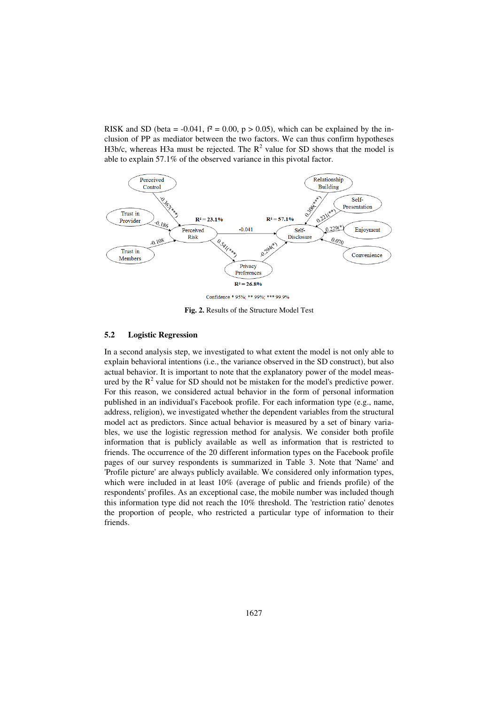RISK and SD (beta =  $-0.041$ ,  $f^2 = 0.00$ ,  $p > 0.05$ ), which can be explained by the inclusion of PP as mediator between the two factors. We can thus confirm hypotheses H3b/c, whereas H3a must be rejected. The  $R^2$  value for SD shows that the model is able to explain 57.1% of the observed variance in this pivotal factor.



**Fig. 2.** Results of the Structure Model Test

#### **5.2 Logistic Regression**

In a second analysis step, we investigated to what extent the model is not only able to explain behavioral intentions (i.e., the variance observed in the SD construct), but also actual behavior. It is important to note that the explanatory power of the model measured by the  $R^2$  value for SD should not be mistaken for the model's predictive power. For this reason, we considered actual behavior in the form of personal information published in an individual's Facebook profile. For each information type (e.g., name, address, religion), we investigated whether the dependent variables from the structural model act as predictors. Since actual behavior is measured by a set of binary variables, we use the logistic regression method for analysis. We consider both profile information that is publicly available as well as information that is restricted to friends. The occurrence of the 20 different information types on the Facebook profile pages of our survey respondents is summarized in Table 3. Note that 'Name' and 'Profile picture' are always publicly available. We considered only information types, which were included in at least 10% (average of public and friends profile) of the respondents' profiles. As an exceptional case, the mobile number was included though this information type did not reach the 10% threshold. The 'restriction ratio' denotes the proportion of people, who restricted a particular type of information to their friends.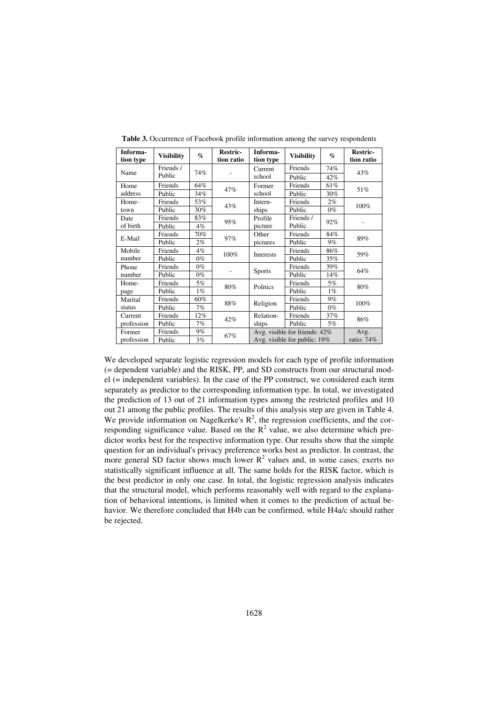| Informa-   | <b>Visibility</b> | $\%$  | <b>Restric-</b> | Informa-      | <b>Visibility</b>             | $\%$       | <b>Restric-</b> |  |
|------------|-------------------|-------|-----------------|---------------|-------------------------------|------------|-----------------|--|
| tion type  |                   |       | tion ratio      | tion type     |                               |            | tion ratio      |  |
| Name       | Friends /         | 74%   |                 | Current       | Friends                       | 74%        | 43%             |  |
|            | Public            |       |                 | school        | Public                        | 42%        |                 |  |
| Home       | Friends           | 64%   | 47%             | Former        | Friends                       | 61%        | 51%             |  |
| address    | Public            | 34%   |                 | school        | Public                        | 30%        |                 |  |
| Home-      | Friends           | 53%   | 43%             | Intern-       | Friends                       | $2\%$      | 100%            |  |
| town       | Public            | 30%   |                 | ships         | Public                        | $0\%$      |                 |  |
| Date       | Friends           | 83%   | 95%             | Profile       | Friends /                     | 92%        |                 |  |
| of birth   | Public            | 4%    |                 | picture       | Public                        |            |                 |  |
| E-Mail     | Friends           | 70%   | 97%             | Other         | Friends                       | 84%        | 89%             |  |
|            | Public            | 2%    |                 | pictures      | Public                        | 9%         |                 |  |
| Mobile     | Friends           | 4%    | 100%            | Interests     | Friends                       | 86%        | 59%             |  |
| number     | Public            | $0\%$ |                 |               | Public                        | 35%        |                 |  |
| Phone      | Friends           | $0\%$ |                 | <b>Sports</b> | Friends                       | 39%        | 64%             |  |
| number     | Public            | $0\%$ |                 |               | Public                        | 14%        |                 |  |
| Home-      | Friends           | 5%    | 80%             | Politics      | Friends                       | 5%         | 80%             |  |
| page       | Public            | $1\%$ |                 |               | Public                        | $1\%$      |                 |  |
| Marital    | Friends           | 60%   | 88%             | Religion      | Friends                       | $9\%$      | 100%            |  |
| status     | Public            | 7%    |                 |               | Public                        | $0\%$      |                 |  |
| Current    | Friends           | 12%   | 42%             | Relation-     | Friends                       | 37%        | 86%             |  |
| profession | Public            | 7%    |                 | ships         | Public                        | 5%         |                 |  |
| Former     | Friends           | 9%    | 67%             |               | Avg. visible for friends: 42% | Avg.       |                 |  |
| profession | Public            | 3%    |                 |               | Avg. visible for public: 19%  | ratio: 74% |                 |  |

**Table 3.** Occurrence of Facebook profile information among the survey respondents

We developed separate logistic regression models for each type of profile information (= dependent variable) and the RISK, PP, and SD constructs from our structural model (= independent variables). In the case of the PP construct, we considered each item separately as predictor to the corresponding information type. In total, we investigated the prediction of 13 out of 21 information types among the restricted profiles and 10 out 21 among the public profiles. The results of this analysis step are given in Table 4. We provide information on Nagelkerke's  $\mathbb{R}^2$ , the regression coefficients, and the corresponding significance value. Based on the  $R^2$  value, we also determine which predictor works best for the respective information type. Our results show that the simple question for an individual's privacy preference works best as predictor. In contrast, the more general SD factor shows much lower  $R^2$  values and, in some cases, exerts no statistically significant influence at all. The same holds for the RISK factor, which is the best predictor in only one case. In total, the logistic regression analysis indicates that the structural model, which performs reasonably well with regard to the explanation of behavioral intentions, is limited when it comes to the prediction of actual behavior. We therefore concluded that H4b can be confirmed, while H4a/c should rather be rejected.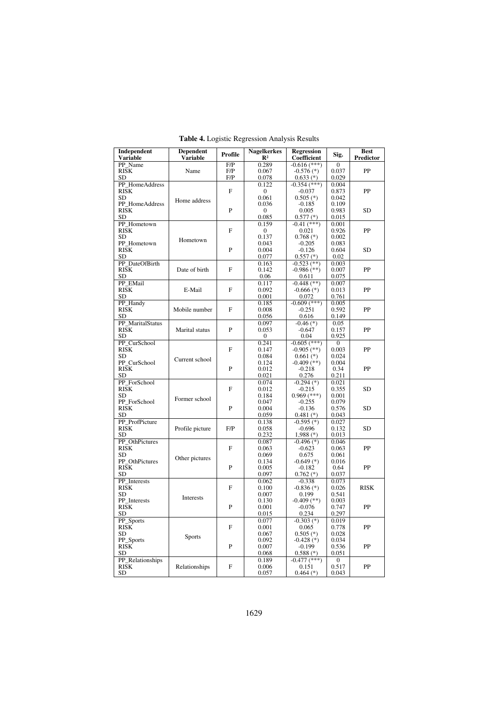| Independent<br><b>Variable</b>  | <b>Dependent</b><br>Profile<br>Variable |              | <b>Nagelkerkes</b><br>$\mathbb{R}^2$ | <b>Regression</b><br><b>Coefficient</b> | Sig.                  | <b>Best</b><br>Predictor |
|---------------------------------|-----------------------------------------|--------------|--------------------------------------|-----------------------------------------|-----------------------|--------------------------|
| PP_Name                         |                                         | F/P          | 0.289                                | $-0.616$ (***)                          | $\overline{0}$        |                          |
| $R\bar{S}\bar{K}$               | Name                                    | F/P          | 0.067                                | $-0.576$ (*)                            | 0.037                 | PP                       |
| <b>SD</b>                       |                                         | F/P          | 0.078                                | $0.633$ (*)                             | 0.029                 |                          |
| PP HomeAddress                  |                                         |              | 0.122                                | $-0.354$ (***)                          | 0.004                 |                          |
| <b>RISK</b>                     |                                         | $\mathbf{F}$ | $\Omega$                             | $-0.037$                                | 0.873                 | PP                       |
| <b>SD</b>                       |                                         |              | 0.061                                | $0.505$ (*)                             | 0.042                 |                          |
| PP HomeAddress                  | Home address                            |              | 0.036                                | $-0.185$                                | 0.109                 |                          |
| <b>RISK</b>                     |                                         | P            | $\mathbf{0}$                         | 0.005                                   | 0.983                 | <b>SD</b>                |
| SD                              |                                         |              | 0.085                                | $0.577$ $(*)$                           | 0.015                 |                          |
| PP Hometown                     |                                         |              | 0.159                                | $-0.41$ (***)                           | 0.001                 |                          |
| <b>RISK</b>                     |                                         | F            | $\boldsymbol{0}$                     | 0.021                                   | 0.926                 | PP                       |
| <b>SD</b>                       |                                         |              | 0.137                                | $0.768$ (*)                             | 0.002                 |                          |
| PP Hometown                     | Hometown                                |              | 0.043                                | $-0.205$                                | 0.083                 |                          |
| <b>RISK</b>                     |                                         | P            | 0.004                                | $-0.126$                                | 0.604                 | <b>SD</b>                |
| <b>SD</b>                       |                                         |              | 0.077                                | $0.557$ (*)                             | 0.02                  |                          |
| PP DateOfBirth                  |                                         |              | 0.163                                | $-0.523$ (**)                           | 0.003                 |                          |
| <b>RISK</b>                     | Date of birth                           | F            | 0.142                                | $-0.986$ (**)                           | 0.007                 | PP                       |
| SD                              |                                         |              | 0.06                                 | 0.611                                   | 0.075                 |                          |
| PP EMail                        |                                         |              | 0.117                                | $-0.448$ (**)                           | 0.007                 |                          |
| <b>RISK</b>                     | E-Mail                                  | F            | 0.092                                | $-0.666$ (*)                            | 0.013                 | PP                       |
| SD                              |                                         |              | 0.001                                | 0.072                                   | 0.761                 |                          |
| PP_Handy                        |                                         |              | 0.185                                | $-0.609$ (***)                          | 0.005                 |                          |
| <b>RISK</b>                     | Mobile number                           | F            | 0.008                                | $-0.251$                                | 0.592                 | PP                       |
| SD                              |                                         |              | 0.056                                | 0.616                                   | 0.149                 |                          |
| PP MaritalStatus                |                                         |              | 0.097                                | $-0.46(*)$                              | 0.05                  |                          |
| <b>RISK</b>                     | Marital status                          | P            | 0.053                                | $-0.647$                                | 0.157                 | PP                       |
| <b>SD</b>                       |                                         |              | $\mathbf{0}$                         | 0.04                                    | 0.925                 |                          |
| PP_CurSchool                    |                                         |              | 0.241                                |                                         |                       |                          |
| <b>RISK</b>                     |                                         | F            | 0.147                                | $-0.605$ (***)<br>$-0.905$ (**)         | 0<br>0.003            | PP                       |
| <b>SD</b>                       |                                         |              | 0.084                                | $0.661$ (*)                             | 0.024                 |                          |
| PP CurSchool                    | Current school                          |              | 0.124                                | $-0.409$ (**)                           | 0.004                 |                          |
| <b>RISK</b>                     |                                         | P            | 0.012                                | $-0.218$                                | 0.34                  | PP                       |
| <b>SD</b>                       |                                         |              | 0.021                                | 0.276                                   | 0.211                 |                          |
| PP ForSchool                    |                                         |              | 0.074                                | $-0.294$ $(*)$                          | 0.021                 |                          |
| <b>RISK</b>                     |                                         | F            | 0.012                                | $-0.215$                                | 0.355                 | <b>SD</b>                |
| <b>SD</b>                       |                                         |              | 0.184                                | $0.969$ (***)                           | 0.001                 |                          |
| PP ForSchool                    | Former school                           |              | 0.047                                | $-0.255$                                | 0.079                 |                          |
| <b>RISK</b>                     |                                         | $\mathbf{P}$ | 0.004                                | $-0.136$                                | 0.576                 | <b>SD</b>                |
| SD                              |                                         |              | 0.059                                | $0.481$ (*)                             | 0.043                 |                          |
| PP ProfPicture                  |                                         |              | 0.138                                | $-0.595$ (*)                            | 0.027                 |                          |
| <b>RISK</b>                     | Profile picture                         | F/P          | 0.058                                | $-0.696$                                | 0.132                 | <b>SD</b>                |
| SD                              |                                         |              | 0.232                                | $1,988$ (*)                             | 0.013                 |                          |
| PP OthPictures                  |                                         |              | 0.087                                | $-0.496$ (*)                            | 0.046                 |                          |
| <b>RISK</b>                     |                                         | F            | 0.063                                | $-0.623$                                | 0.063                 | PP                       |
| <b>SD</b>                       |                                         |              | 0.069                                | 0.675                                   | 0.061                 |                          |
| PP OthPictures                  | Other pictures                          |              | 0.134                                | $-0.649$ (*)                            | 0.016                 |                          |
| <b>RISK</b>                     |                                         | P            | 0.005                                | $-0.182$                                | 0.64                  | PP                       |
| <b>SD</b>                       |                                         |              | 0.097                                | $0.762$ (*)                             | 0.037                 |                          |
| PP Interests                    |                                         |              | 0.062                                | $-0.338$                                | 0.073                 |                          |
| <b>RISK</b>                     |                                         | F            | 0.100                                | $-0.836$ (*)                            | 0.026                 | <b>RISK</b>              |
| <b>SD</b>                       |                                         |              | 0.007                                | 0.199                                   | 0.541                 |                          |
| PP Interests                    | Interests                               |              | 0.130                                | $-0.409$ (**)                           | 0.003                 |                          |
| <b>RISK</b>                     |                                         | P            | 0.001                                | $-0.076$                                | 0.747                 | PP                       |
| <b>SD</b>                       |                                         |              | 0.015                                | 0.234                                   | 0.297                 |                          |
|                                 |                                         |              |                                      |                                         |                       |                          |
| PP_Sports<br><b>RISK</b>        |                                         | F            | 0.077<br>0.001                       | $-0.303$ (*)<br>0.065                   | 0.019<br>0.778        | PP                       |
|                                 |                                         |              |                                      |                                         |                       |                          |
| <b>SD</b>                       | Sports                                  |              | 0.067<br>0.092                       | $0.505$ (*)                             | 0.028<br>0.034        |                          |
| PP_Sports<br>$R\bar{S}\bar{K}$  |                                         | P            | 0.007                                | $-0.428$ (*)<br>$-0.199$                | 0.536                 | PP                       |
| <b>SD</b>                       |                                         |              | 0.068                                |                                         | 0.051                 |                          |
|                                 |                                         |              | 0.189                                | $0.588$ $(*)$                           |                       |                          |
| PP_Relationships<br><b>RISK</b> |                                         |              |                                      | $-0.477$ (***)                          | $\mathbf{0}$<br>0.517 | PP                       |
|                                 | Relationships                           | F            | 0.006                                | 0.151                                   |                       |                          |
| SD                              |                                         |              | 0.057                                | $0.464$ (*)                             | 0.043                 |                          |

**Table 4.** Logistic Regression Analysis Results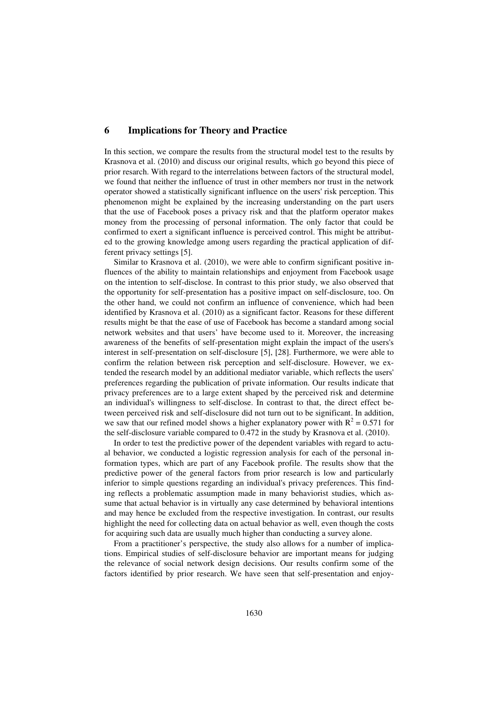### **6 Implications for Theory and Practice**

In this section, we compare the results from the structural model test to the results by Krasnova et al. (2010) and discuss our original results, which go beyond this piece of prior resarch. With regard to the interrelations between factors of the structural model, we found that neither the influence of trust in other members nor trust in the network operator showed a statistically significant influence on the users' risk perception. This phenomenon might be explained by the increasing understanding on the part users that the use of Facebook poses a privacy risk and that the platform operator makes money from the processing of personal information. The only factor that could be confirmed to exert a significant influence is perceived control. This might be attributed to the growing knowledge among users regarding the practical application of different privacy settings [5].

Similar to Krasnova et al. (2010), we were able to confirm significant positive influences of the ability to maintain relationships and enjoyment from Facebook usage on the intention to self-disclose. In contrast to this prior study, we also observed that the opportunity for self-presentation has a positive impact on self-disclosure, too. On the other hand, we could not confirm an influence of convenience, which had been identified by Krasnova et al. (2010) as a significant factor. Reasons for these different results might be that the ease of use of Facebook has become a standard among social network websites and that users' have become used to it. Moreover, the increasing awareness of the benefits of self-presentation might explain the impact of the users's interest in self-presentation on self-disclosure [5], [28]. Furthermore, we were able to confirm the relation between risk perception and self-disclosure. However, we extended the research model by an additional mediator variable, which reflects the users' preferences regarding the publication of private information. Our results indicate that privacy preferences are to a large extent shaped by the perceived risk and determine an individual's willingness to self-disclose. In contrast to that, the direct effect between perceived risk and self-disclosure did not turn out to be significant. In addition, we saw that our refined model shows a higher explanatory power with  $R^2 = 0.571$  for the self-disclosure variable compared to 0.472 in the study by Krasnova et al. (2010).

In order to test the predictive power of the dependent variables with regard to actual behavior, we conducted a logistic regression analysis for each of the personal information types, which are part of any Facebook profile. The results show that the predictive power of the general factors from prior research is low and particularly inferior to simple questions regarding an individual's privacy preferences. This finding reflects a problematic assumption made in many behaviorist studies, which assume that actual behavior is in virtually any case determined by behavioral intentions and may hence be excluded from the respective investigation. In contrast, our results highlight the need for collecting data on actual behavior as well, even though the costs for acquiring such data are usually much higher than conducting a survey alone.

From a practitioner's perspective, the study also allows for a number of implications. Empirical studies of self-disclosure behavior are important means for judging the relevance of social network design decisions. Our results confirm some of the factors identified by prior research. We have seen that self-presentation and enjoy-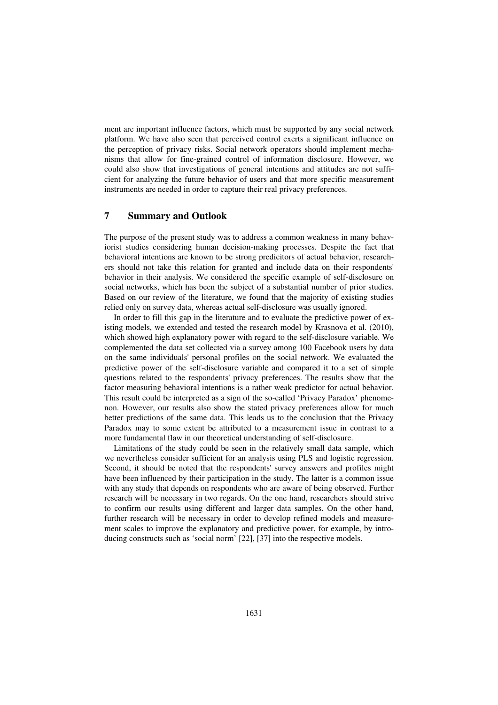ment are important influence factors, which must be supported by any social network platform. We have also seen that perceived control exerts a significant influence on the perception of privacy risks. Social network operators should implement mechanisms that allow for fine-grained control of information disclosure. However, we could also show that investigations of general intentions and attitudes are not sufficient for analyzing the future behavior of users and that more specific measurement instruments are needed in order to capture their real privacy preferences.

## **7 Summary and Outlook**

The purpose of the present study was to address a common weakness in many behaviorist studies considering human decision-making processes. Despite the fact that behavioral intentions are known to be strong predicitors of actual behavior, researchers should not take this relation for granted and include data on their respondents' behavior in their analysis. We considered the specific example of self-disclosure on social networks, which has been the subject of a substantial number of prior studies. Based on our review of the literature, we found that the majority of existing studies relied only on survey data, whereas actual self-disclosure was usually ignored.

In order to fill this gap in the literature and to evaluate the predictive power of existing models, we extended and tested the research model by Krasnova et al. (2010), which showed high explanatory power with regard to the self-disclosure variable. We complemented the data set collected via a survey among 100 Facebook users by data on the same individuals' personal profiles on the social network. We evaluated the predictive power of the self-disclosure variable and compared it to a set of simple questions related to the respondents' privacy preferences. The results show that the factor measuring behavioral intentions is a rather weak predictor for actual behavior. This result could be interpreted as a sign of the so-called 'Privacy Paradox' phenomenon. However, our results also show the stated privacy preferences allow for much better predictions of the same data. This leads us to the conclusion that the Privacy Paradox may to some extent be attributed to a measurement issue in contrast to a more fundamental flaw in our theoretical understanding of self-disclosure.

Limitations of the study could be seen in the relatively small data sample, which we nevertheless consider sufficient for an analysis using PLS and logistic regression. Second, it should be noted that the respondents' survey answers and profiles might have been influenced by their participation in the study. The latter is a common issue with any study that depends on respondents who are aware of being observed. Further research will be necessary in two regards. On the one hand, researchers should strive to confirm our results using different and larger data samples. On the other hand, further research will be necessary in order to develop refined models and measurement scales to improve the explanatory and predictive power, for example, by introducing constructs such as 'social norm' [22], [37] into the respective models.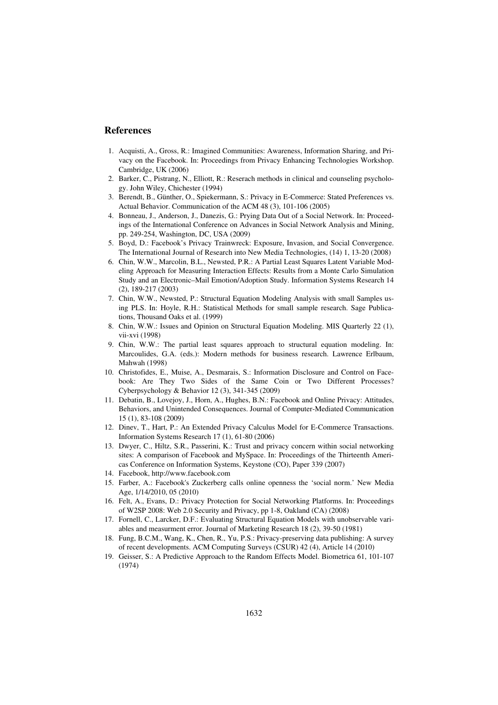#### **References**

- 1. Acquisti, A., Gross, R.: Imagined Communities: Awareness, Information Sharing, and Privacy on the Facebook. In: Proceedings from Privacy Enhancing Technologies Workshop. Cambridge, UK (2006)
- 2. Barker, C., Pistrang, N., Elliott, R.: Reserach methods in clinical and counseling psychology. John Wiley, Chichester (1994)
- 3. Berendt, B., Günther, O., Spiekermann, S.: Privacy in E-Commerce: Stated Preferences vs. Actual Behavior. Communication of the ACM 48 (3), 101-106 (2005)
- 4. Bonneau, J., Anderson, J., Danezis, G.: Prying Data Out of a Social Network. In: Proceedings of the International Conference on Advances in Social Network Analysis and Mining, pp. 249-254, Washington, DC, USA (2009)
- 5. Boyd, D.: Facebook's Privacy Trainwreck: Exposure, Invasion, and Social Convergence. The International Journal of Research into New Media Technologies, (14) 1, 13-20 (2008)
- 6. Chin, W.W., Marcolin, B.L., Newsted, P.R.: A Partial Least Squares Latent Variable Modeling Approach for Measuring Interaction Effects: Results from a Monte Carlo Simulation Study and an Electronic–Mail Emotion/Adoption Study. Information Systems Research 14 (2), 189-217 (2003)
- 7. Chin, W.W., Newsted, P.: Structural Equation Modeling Analysis with small Samples using PLS. In: Hoyle, R.H.: Statistical Methods for small sample research. Sage Publications, Thousand Oaks et al. (1999)
- 8. Chin, W.W.: Issues and Opinion on Structural Equation Modeling. MIS Quarterly 22 (1), vii-xvi (1998)
- 9. Chin, W.W.: The partial least squares approach to structural equation modeling. In: Marcoulides, G.A. (eds.): Modern methods for business research. Lawrence Erlbaum, Mahwah (1998)
- 10. Christofides, E., Muise, A., Desmarais, S.: Information Disclosure and Control on Facebook: Are They Two Sides of the Same Coin or Two Different Processes? Cyberpsychology & Behavior 12 (3), 341-345 (2009)
- 11. Debatin, B., Lovejoy, J., Horn, A., Hughes, B.N.: Facebook and Online Privacy: Attitudes, Behaviors, and Unintended Consequences. Journal of Computer-Mediated Communication 15 (1), 83-108 (2009)
- 12. Dinev, T., Hart, P.: An Extended Privacy Calculus Model for E-Commerce Transactions. Information Systems Research 17 (1), 61-80 (2006)
- 13. Dwyer, C., Hiltz, S.R., Passerini, K.: Trust and privacy concern within social networking sites: A comparison of Facebook and MySpace. In: Proceedings of the Thirteenth Americas Conference on Information Systems, Keystone (CO), Paper 339 (2007)
- 14. Facebook, http://www.facebook.com
- 15. Farber, A.: Facebook's Zuckerberg calls online openness the 'social norm.' New Media Age, 1/14/2010, 05 (2010)
- 16. Felt, A., Evans, D.: Privacy Protection for Social Networking Platforms. In: Proceedings of W2SP 2008: Web 2.0 Security and Privacy, pp 1-8, Oakland (CA) (2008)
- 17. Fornell, C., Larcker, D.F.: Evaluating Structural Equation Models with unobservable variables and measurment error. Journal of Marketing Research 18 (2), 39-50 (1981)
- 18. Fung, B.C.M., Wang, K., Chen, R., Yu, P.S.: Privacy-preserving data publishing: A survey of recent developments. ACM Computing Surveys (CSUR) 42 (4), Article 14 (2010)
- 19. Geisser, S.: A Predictive Approach to the Random Effects Model. Biometrica 61, 101-107 (1974)